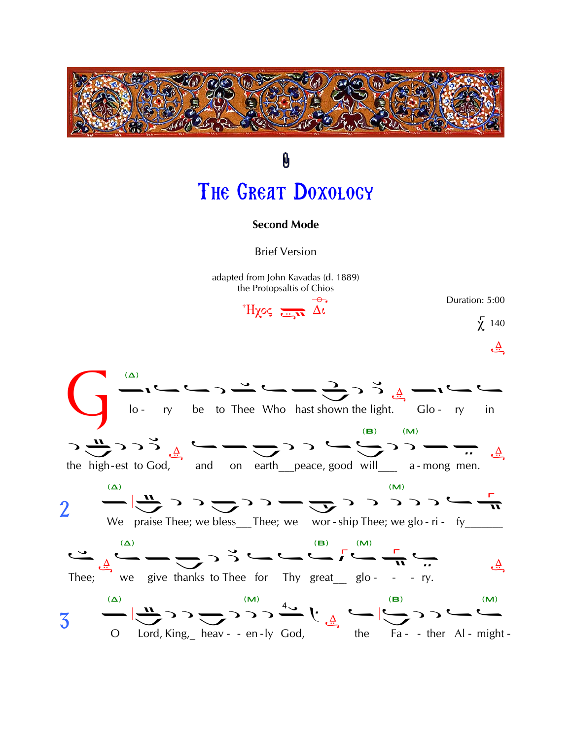

# 0 THE GREAT DOXOLOGY

#### **Second Mode**

**Brief Version** 

adapted from John Kavadas (d. 1889) the Protopsaltis of Chios

 $H\chi$ os  $\frac{1}{\kappa}$  $\Lambda$ i

Duration: 5:00  $\chi$  140

یے

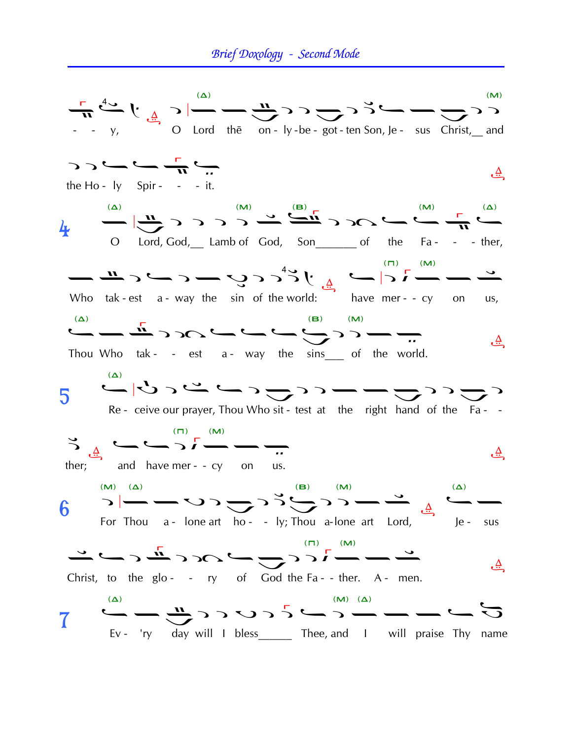### Brief Doxology - Second Mode

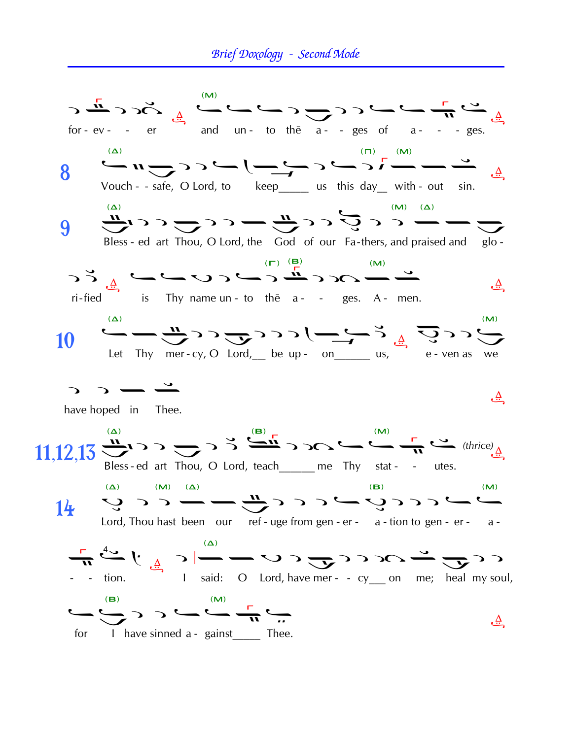### Brief Doxology - Second Mode

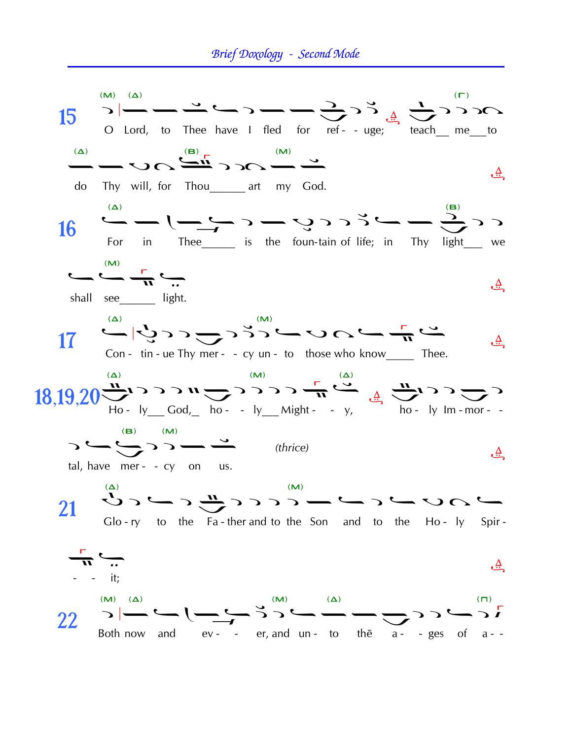## Brief Doxology - Second Mode